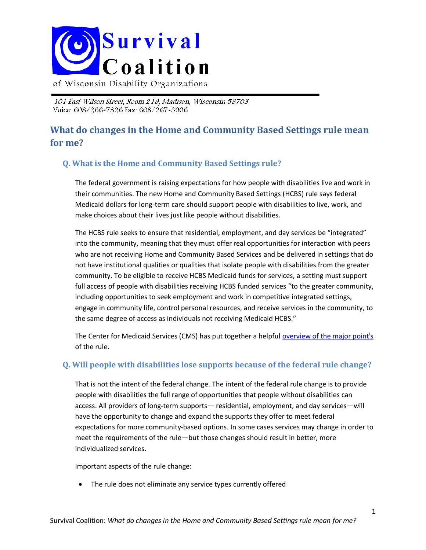

of Wisconsin Disability Organizations

101 East Wilson Street, Room 219, Madison, Wisconsin 53703 Voice: 608/266~7826 Fax: 608/267~3906

# **What do changes in the Home and Community Based Settings rule mean for me?**

### **Q. What is the Home and Community Based Settings rule?**

The federal government is raising expectations for how people with disabilities live and work in their communities. The new Home and Community Based Settings (HCBS) rule says federal Medicaid dollars for long-term care should support people with disabilities to live, work, and make choices about their lives just like people without disabilities.

The HCBS rule seeks to ensure that residential, employment, and day services be "integrated" into the community, meaning that they must offer real opportunities for interaction with peers who are not receiving Home and Community Based Services and be delivered in settings that do not have institutional qualities or qualities that isolate people with disabilities from the greater community. To be eligible to receive HCBS Medicaid funds for services, a setting must support full access of people with disabilities receiving HCBS funded services "to the greater community, including opportunities to seek employment and work in competitive integrated settings, engage in community life, control personal resources, and receive services in the community, to the same degree of access as individuals not receiving Medicaid HCBS."

The Center for Medicaid Services (CMS) has put together a helpful <u>overview of the major point<sup>i</sup>s</u> of the rule.

#### **Q. Will people with disabilities lose supports because of the federal rule change?**

That is not the intent of the federal change. The intent of the federal rule change is to provide people with disabilities the full range of opportunities that people without disabilities can access. All providers of long-term supports— residential, employment, and day services—will have the opportunity to change and expand the supports they offer to meet federal expectations for more community-based options. In some cases services may change in order to meet the requirements of the rule—but those changes should result in better, more individualized services.

Important aspects of the rule change:

The rule does not eliminate any service types currently offered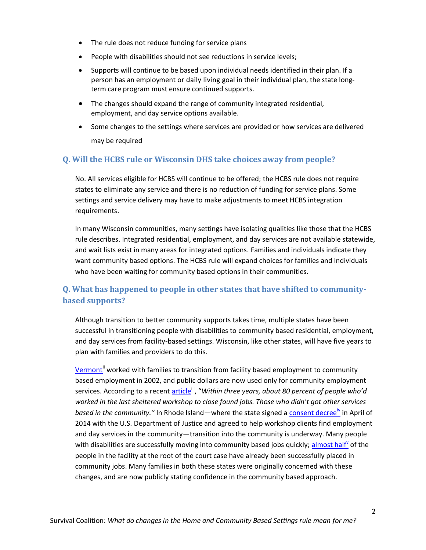- The rule does not reduce funding for service plans
- People with disabilities should not see reductions in service levels;
- Supports will continue to be based upon individual needs identified in their plan. If a person has an employment or daily living goal in their individual plan, the state longterm care program must ensure continued supports.
- The changes should expand the range of community integrated residential, employment, and day service options available.
- Some changes to the settings where services are provided or how services are delivered may be required

#### **Q. Will the HCBS rule or Wisconsin DHS take choices away from people?**

No. All services eligible for HCBS will continue to be offered; the HCBS rule does not require states to eliminate any service and there is no reduction of funding for service plans. Some settings and service delivery may have to make adjustments to meet HCBS integration requirements.

In many Wisconsin communities, many settings have isolating qualities like those that the HCBS rule describes. Integrated residential, employment, and day services are not available statewide, and wait lists exist in many areas for integrated options. Families and individuals indicate they want community based options. The HCBS rule will expand choices for families and individuals who have been waiting for community based options in their communities.

# **Q. What has happened to people in other states that have shifted to communitybased supports?**

Although transition to better community supports takes time, multiple states have been successful in transitioning people with disabilities to community based residential, employment, and day services from facility-based settings. Wisconsin, like other states, will have five years to plan with families and providers to do this.

[Vermont](http://www.ddas.vermont.gov/ddas-programs/programs-se-default-page)<sup>ii</sup> worked with families to transition from facility based employment to community based employment in 2002, and public dollars are now used only for community employment services. According to a recent **article<sup>iii</sup>, "Within three years, about 80 percent of people who'd** *worked in the last sheltered workshop to close found jobs. Those who didn't got other services*  based in the community." In Rhode Island—where the state signed a [consent decree](http://www.nytimes.com/2014/04/09/us/developmentally-disabled-get-more-workplace-protections.html)<sup>iv</sup> in April of 2014 with the U.S. Department of Justice and agreed to help workshop clients find employment and day services in the community—transition into the community is underway. Many people with disabilities are successfully moving into community based jobs quickly; [almost half](http://www.nytimes.com/2014/10/05/us/a-couple-gaining-independence-and-finding-a-bond.html?_r=1)<sup>y</sup> of the people in the facility at the root of the court case have already been successfully placed in community jobs. Many families in both these states were originally concerned with these changes, and are now publicly stating confidence in the community based approach.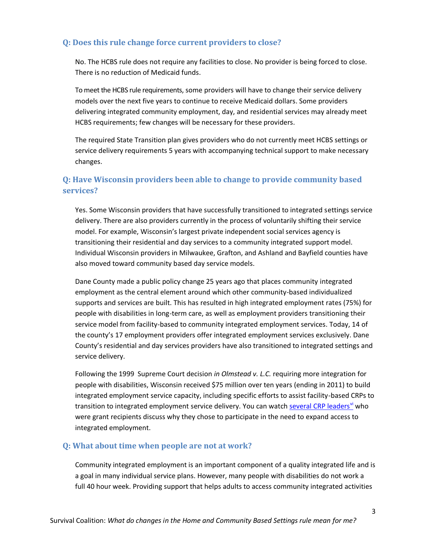### **Q: Does this rule change force current providers to close?**

No. The HCBS rule does not require any facilities to close. No provider is being forced to close. There is no reduction of Medicaid funds.

To meet the HCBS rule requirements, some providers will have to change their service delivery models over the next five years to continue to receive Medicaid dollars. Some providers delivering integrated community employment, day, and residential services may already meet HCBS requirements; few changes will be necessary for these providers.

The required State Transition plan gives providers who do not currently meet HCBS settings or service delivery requirements 5 years with accompanying technical support to make necessary changes.

## **Q: Have Wisconsin providers been able to change to provide community based services?**

Yes. Some Wisconsin providers that have successfully transitioned to integrated settings service delivery. There are also providers currently in the process of voluntarily shifting their service model. For example, Wisconsin's largest private independent social services agency is transitioning their residential and day services to a community integrated support model. Individual Wisconsin providers in Milwaukee, Grafton, and Ashland and Bayfield counties have also moved toward community based day service models.

Dane County made a public policy change 25 years ago that places community integrated employment as the central element around which other community-based individualized supports and services are built. This has resulted in high integrated employment rates (75%) for people with disabilities in long-term care, as well as employment providers transitioning their service model from facility-based to community integrated employment services. Today, 14 of the county's 17 employment providers offer integrated employment services exclusively. Dane County's residential and day services providers have also transitioned to integrated settings and service delivery.

Following the 1999 Supreme Court decision *in Olmstead v. L.C.* requiring more integration for people with disabilities, Wisconsin received \$75 million over ten years (ending in 2011) to build integrated employment service capacity, including specific efforts to assist facility-based CRPs to transition to integrated employment service delivery. You can watch **several CRP leaders<sup>vi</sup> who** were grant recipients discuss why they chose to participate in the need to expand access to integrated employment.

#### **Q: What about time when people are not at work?**

Community integrated employment is an important component of a quality integrated life and is a goal in many individual service plans. However, many people with disabilities do not work a full 40 hour week. Providing support that helps adults to access community integrated activities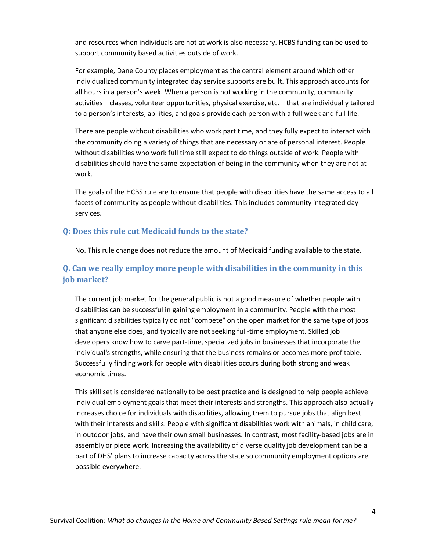and resources when individuals are not at work is also necessary. HCBS funding can be used to support community based activities outside of work.

For example, Dane County places employment as the central element around which other individualized community integrated day service supports are built. This approach accounts for all hours in a person's week. When a person is not working in the community, community activities—classes, volunteer opportunities, physical exercise, etc.—that are individually tailored to a person's interests, abilities, and goals provide each person with a full week and full life.

There are people without disabilities who work part time, and they fully expect to interact with the community doing a variety of things that are necessary or are of personal interest. People without disabilities who work full time still expect to do things outside of work. People with disabilities should have the same expectation of being in the community when they are not at work.

The goals of the HCBS rule are to ensure that people with disabilities have the same access to all facets of community as people without disabilities. This includes community integrated day services.

#### **Q: Does this rule cut Medicaid funds to the state?**

No. This rule change does not reduce the amount of Medicaid funding available to the state.

### **Q. Can we really employ more people with disabilities in the community in this job market?**

The current job market for the general public is not a good measure of whether people with disabilities can be successful in gaining employment in a community. People with the most significant disabilities typically do not "compete" on the open market for the same type of jobs that anyone else does, and typically are not seeking full-time employment. Skilled job developers know how to carve part-time, specialized jobs in businesses that incorporate the individual's strengths, while ensuring that the business remains or becomes more profitable. Successfully finding work for people with disabilities occurs during both strong and weak economic times.

This skill set is considered nationally to be best practice and is designed to help people achieve individual employment goals that meet their interests and strengths. This approach also actually increases choice for individuals with disabilities, allowing them to pursue jobs that align best with their interests and skills. People with significant disabilities work with animals, in child care, in outdoor jobs, and have their own small businesses. In contrast, most facility-based jobs are in assembly or piece work. Increasing the availability of diverse quality job development can be a part of DHS' plans to increase capacity across the state so community employment options are possible everywhere.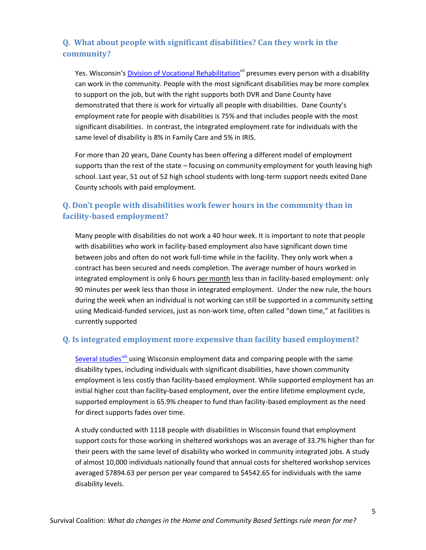# **Q. What about people with significant disabilities? Can they work in the community?**

Yes. Wisconsin's [Division of Vocational Rehabilitation](http://dwd.wisconsin.gov/dvr/)<sup>vii</sup> presumes every person with a disability can work in the community. People with the most significant disabilities may be more complex to support on the job, but with the right supports both DVR and Dane County have demonstrated that there is work for virtually all people with disabilities. Dane County's employment rate for people with disabilities is 75% and that includes people with the most significant disabilities. In contrast, the integrated employment rate for individuals with the same level of disability is 8% in Family Care and 5% in IRIS.

For more than 20 years, Dane County has been offering a different model of employment supports than the rest of the state – focusing on community employment for youth leaving high school. Last year, 51 out of 52 high school students with long-term support needs exited Dane County schools with paid employment.

# **Q. Don't people with disabilities work fewer hours in the community than in facility-based employment?**

Many people with disabilities do not work a 40 hour week. It is important to note that people with disabilities who work in facility-based employment also have significant down time between jobs and often do not work full-time while in the facility. They only work when a contract has been secured and needs completion. The average number of hours worked in integrated employment is only 6 hours per month less than in facility-based employment: only 90 minutes per week less than those in integrated employment. Under the new rule, the hours during the week when an individual is not working can still be supported in a community setting using Medicaid-funded services, just as non-work time, often called "down time," at facilities is currently supported

### **Q. Is integrated employment more expensive than facility based employment?**

[Several studies](http://thecpsd.org/wp-content/uploads/2014/02/Is-Supported-Employment-a-Good-Investment-for-Taxpayers.pdf)<sup>viii</sup> using Wisconsin employment data and comparing people with the same disability types, including individuals with significant disabilities, have shown community employment is less costly than facility-based employment. While supported employment has an initial higher cost than facility-based employment, over the entire lifetime employment cycle, supported employment is 65.9% cheaper to fund than facility-based employment as the need for direct supports fades over time.

A study conducted with 1118 people with disabilities in Wisconsin found that employment support costs for those working in sheltered workshops was an average of 33.7% higher than for their peers with the same level of disability who worked in community integrated jobs. A study of almost 10,000 individuals nationally found that annual costs for sheltered workshop services averaged \$7894.63 per person per year compared to \$4542.65 for individuals with the same disability levels.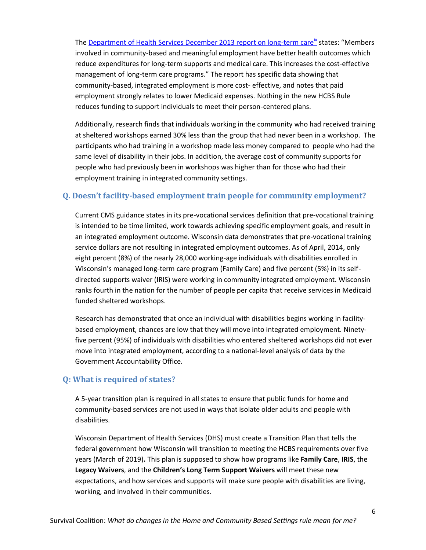The [Department of Health Services December 2013 report on long-term care](http://www.dhs.wisconsin.gov/publications/P0/p00590.pdf)<sup>ix</sup> states: "Members involved in community-based and meaningful employment have better health outcomes which reduce expenditures for long-term supports and medical care. This increases the cost-effective management of long-term care programs." The report has specific data showing that community-based, integrated employment is more cost- effective, and notes that paid employment strongly relates to lower Medicaid expenses. Nothing in the new HCBS Rule reduces funding to support individuals to meet their person-centered plans.

Additionally, research finds that individuals working in the community who had received training at sheltered workshops earned 30% less than the group that had never been in a workshop. The participants who had training in a workshop made less money compared to people who had the same level of disability in their jobs. In addition, the average cost of community supports for people who had previously been in workshops was higher than for those who had their employment training in integrated community settings.

#### **Q. Doesn't facility-based employment train people for community employment?**

Current CMS guidance states in its pre-vocational services definition that pre-vocational training is intended to be time limited, work towards achieving specific employment goals, and result in an integrated employment outcome. Wisconsin data demonstrates that pre-vocational training service dollars are not resulting in integrated employment outcomes. As of April, 2014, only eight percent (8%) of the nearly 28,000 working-age individuals with disabilities enrolled in Wisconsin's managed long-term care program (Family Care) and five percent (5%) in its selfdirected supports waiver (IRIS) were working in community integrated employment. Wisconsin ranks fourth in the nation for the number of people per capita that receive services in Medicaid funded sheltered workshops.

Research has demonstrated that once an individual with disabilities begins working in facilitybased employment, chances are low that they will move into integrated employment. Ninetyfive percent (95%) of individuals with disabilities who entered sheltered workshops did not ever move into integrated employment, according to a national-level analysis of data by the Government Accountability Office.

#### **Q: What is required of states?**

A 5-year transition plan is required in all states to ensure that public funds for home and community-based services are not used in ways that isolate older adults and people with disabilities.

Wisconsin Department of Health Services (DHS) must create a Transition Plan that tells the federal government how Wisconsin will transition to meeting the HCBS requirements over five years (March of 2019)**.** This plan is supposed to show how programs like **Family Care**, **IRIS**, the **Legacy Waivers**, and the **Children's Long Term Support Waivers** will meet these new expectations, and how services and supports will make sure people with disabilities are living, working, and involved in their communities.